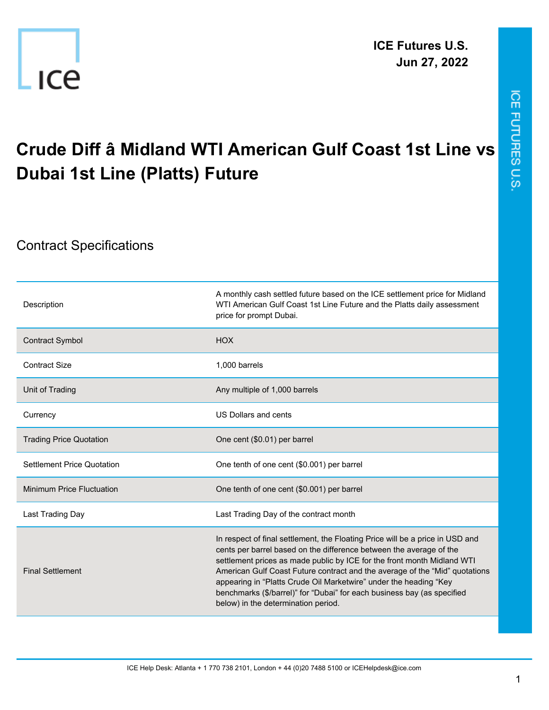

## **Crude Diff â Midland WTI American Gulf Coast 1st Line vs Dubai 1st Line (Platts) Future**

## Contract Specifications

| Description                       | A monthly cash settled future based on the ICE settlement price for Midland<br>WTI American Gulf Coast 1st Line Future and the Platts daily assessment<br>price for prompt Dubai.                                                                                                                                                                                                                                                                                                                     |
|-----------------------------------|-------------------------------------------------------------------------------------------------------------------------------------------------------------------------------------------------------------------------------------------------------------------------------------------------------------------------------------------------------------------------------------------------------------------------------------------------------------------------------------------------------|
| <b>Contract Symbol</b>            | <b>HOX</b>                                                                                                                                                                                                                                                                                                                                                                                                                                                                                            |
| <b>Contract Size</b>              | 1,000 barrels                                                                                                                                                                                                                                                                                                                                                                                                                                                                                         |
| Unit of Trading                   | Any multiple of 1,000 barrels                                                                                                                                                                                                                                                                                                                                                                                                                                                                         |
| Currency                          | US Dollars and cents                                                                                                                                                                                                                                                                                                                                                                                                                                                                                  |
| <b>Trading Price Quotation</b>    | One cent (\$0.01) per barrel                                                                                                                                                                                                                                                                                                                                                                                                                                                                          |
| <b>Settlement Price Quotation</b> | One tenth of one cent (\$0.001) per barrel                                                                                                                                                                                                                                                                                                                                                                                                                                                            |
| <b>Minimum Price Fluctuation</b>  | One tenth of one cent (\$0.001) per barrel                                                                                                                                                                                                                                                                                                                                                                                                                                                            |
| Last Trading Day                  | Last Trading Day of the contract month                                                                                                                                                                                                                                                                                                                                                                                                                                                                |
| <b>Final Settlement</b>           | In respect of final settlement, the Floating Price will be a price in USD and<br>cents per barrel based on the difference between the average of the<br>settlement prices as made public by ICE for the front month Midland WTI<br>American Gulf Coast Future contract and the average of the "Mid" quotations<br>appearing in "Platts Crude Oil Marketwire" under the heading "Key<br>benchmarks (\$/barrel)" for "Dubai" for each business bay (as specified<br>below) in the determination period. |